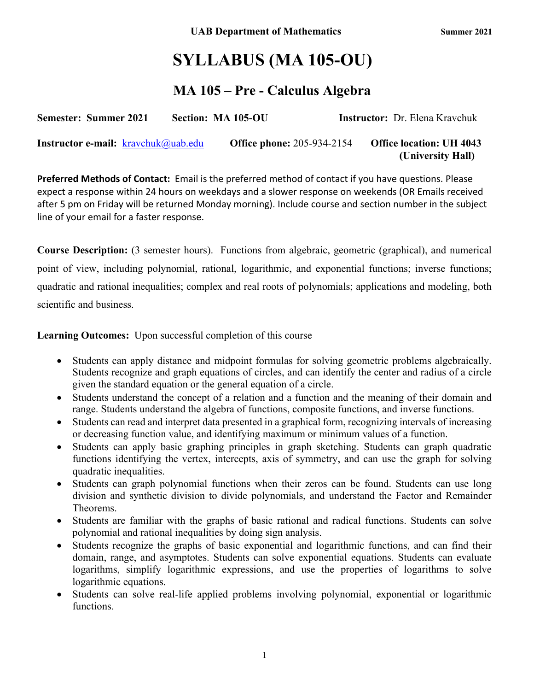**(University Hall)**

# **SYLLABUS (MA 105-OU)**

# **MA 105 – Pre - Calculus Algebra**

| <b>Semester: Summer 2021</b>                  | Section: MA 105-OU                | <b>Instructor:</b> Dr. Elena Kravchuk |
|-----------------------------------------------|-----------------------------------|---------------------------------------|
| <b>Instructor e-mail:</b> $k$ ravchuk@uab.edu | <b>Office phone: 205-934-2154</b> | <b>Office location: UH 4043</b>       |

**Preferred Methods of Contact:** Email is the preferred method of contact if you have questions. Please expect a response within 24 hours on weekdays and a slower response on weekends (OR Emails received after 5 pm on Friday will be returned Monday morning). Include course and section number in the subject line of your email for a faster response.

**Course Description:** (3 semester hours). Functions from algebraic, geometric (graphical), and numerical point of view, including polynomial, rational, logarithmic, and exponential functions; inverse functions; quadratic and rational inequalities; complex and real roots of polynomials; applications and modeling, both scientific and business.

**Learning Outcomes:** Upon successful completion of this course

- Students can apply distance and midpoint formulas for solving geometric problems algebraically. Students recognize and graph equations of circles, and can identify the center and radius of a circle given the standard equation or the general equation of a circle.
- Students understand the concept of a relation and a function and the meaning of their domain and range. Students understand the algebra of functions, composite functions, and inverse functions.
- Students can read and interpret data presented in a graphical form, recognizing intervals of increasing or decreasing function value, and identifying maximum or minimum values of a function.
- Students can apply basic graphing principles in graph sketching. Students can graph quadratic functions identifying the vertex, intercepts, axis of symmetry, and can use the graph for solving quadratic inequalities.
- Students can graph polynomial functions when their zeros can be found. Students can use long division and synthetic division to divide polynomials, and understand the Factor and Remainder Theorems.
- Students are familiar with the graphs of basic rational and radical functions. Students can solve polynomial and rational inequalities by doing sign analysis.
- Students recognize the graphs of basic exponential and logarithmic functions, and can find their domain, range, and asymptotes. Students can solve exponential equations. Students can evaluate logarithms, simplify logarithmic expressions, and use the properties of logarithms to solve logarithmic equations.
- Students can solve real-life applied problems involving polynomial, exponential or logarithmic functions.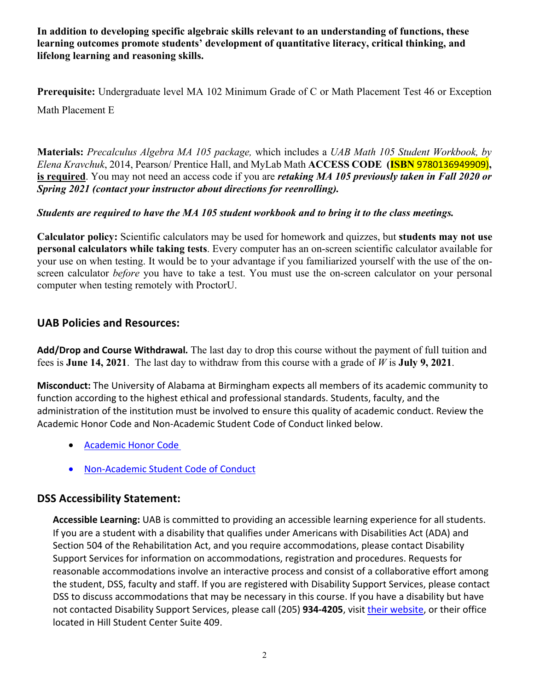**In addition to developing specific algebraic skills relevant to an understanding of functions, these learning outcomes promote students' development of quantitative literacy, critical thinking, and lifelong learning and reasoning skills.**

**Prerequisite:** Undergraduate level MA 102 Minimum Grade of C or Math Placement Test 46 or Exception Math Placement E

**Materials:** *Precalculus Algebra MA 105 package,* which includes a *UAB Math 105 Student Workbook, by Elena Kravchuk*, 2014, Pearson/ Prentice Hall, and MyLab Math **ACCESS CODE (ISBN** 9780136949909)**, is required**. You may not need an access code if you are *retaking MA 105 previously taken in Fall 2020 or Spring 2021 (contact your instructor about directions for reenrolling).*

### *Students are required to have the MA 105 student workbook and to bring it to the class meetings.*

**Calculator policy:** Scientific calculators may be used for homework and quizzes, but **students may not use personal calculators while taking tests**. Every computer has an on-screen scientific calculator available for your use on when testing. It would be to your advantage if you familiarized yourself with the use of the onscreen calculator *before* you have to take a test. You must use the on-screen calculator on your personal computer when testing remotely with ProctorU.

### **UAB Policies and Resources:**

**Add/Drop and Course Withdrawal***.* The last day to drop this course without the payment of full tuition and fees is **June 14, 2021**. The last day to withdraw from this course with a grade of *W* is **July 9, 2021**.

**Misconduct:** The University of Alabama at Birmingham expects all members of its academic community to function according to the highest ethical and professional standards. Students, faculty, and the administration of the institution must be involved to ensure this quality of academic conduct. Review the Academic Honor Code and Non-Academic Student Code of Conduct linked below.

- Academic Honor Code
- Non-Academic Student Code of Conduct

### **DSS Accessibility Statement:**

**Accessible Learning:** UAB is committed to providing an accessible learning experience for all students. If you are a student with a disability that qualifies under Americans with Disabilities Act (ADA) and Section 504 of the Rehabilitation Act, and you require accommodations, please contact Disability Support Services for information on accommodations, registration and procedures. Requests for reasonable accommodations involve an interactive process and consist of a collaborative effort among the student, DSS, faculty and staff. If you are registered with Disability Support Services, please contact DSS to discuss accommodations that may be necessary in this course. If you have a disability but have not contacted Disability Support Services, please call (205) **934-4205**, visit their website, or their office located in Hill Student Center Suite 409.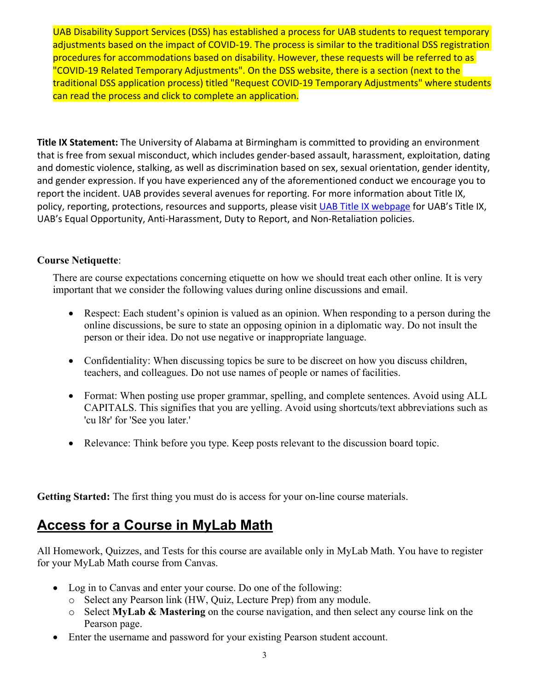UAB Disability Support Services (DSS) has established a process for UAB students to request temporary adjustments based on the impact of COVID-19. The process is similar to the traditional DSS registration procedures for accommodations based on disability. However, these requests will be referred to as "COVID-19 Related Temporary Adjustments". On the DSS website, there is a section (next to the traditional DSS application process) titled "Request COVID-19 Temporary Adjustments" where students can read the process and click to complete an application.

**Title IX Statement:** The University of Alabama at Birmingham is committed to providing an environment that is free from sexual misconduct, which includes gender-based assault, harassment, exploitation, dating and domestic violence, stalking, as well as discrimination based on sex, sexual orientation, gender identity, and gender expression. If you have experienced any of the aforementioned conduct we encourage you to report the incident. UAB provides several avenues for reporting. For more information about Title IX, policy, reporting, protections, resources and supports, please visit UAB Title IX webpage for UAB's Title IX, UAB's Equal Opportunity, Anti-Harassment, Duty to Report, and Non-Retaliation policies.

#### **Course Netiquette**:

There are course expectations concerning etiquette on how we should treat each other online. It is very important that we consider the following values during online discussions and email.

- Respect: Each student's opinion is valued as an opinion. When responding to a person during the online discussions, be sure to state an opposing opinion in a diplomatic way. Do not insult the person or their idea. Do not use negative or inappropriate language.
- Confidentiality: When discussing topics be sure to be discreet on how you discuss children, teachers, and colleagues. Do not use names of people or names of facilities.
- Format: When posting use proper grammar, spelling, and complete sentences. Avoid using ALL CAPITALS. This signifies that you are yelling. Avoid using shortcuts/text abbreviations such as 'cu l8r' for 'See you later.'
- Relevance: Think before you type. Keep posts relevant to the discussion board topic.

**Getting Started:** The first thing you must do is access for your on-line course materials.

# **Access for a Course in MyLab Math**

All Homework, Quizzes, and Tests for this course are available only in MyLab Math. You have to register for your MyLab Math course from Canvas.

- Log in to Canvas and enter your course. Do one of the following:
	- o Select any Pearson link (HW, Quiz, Lecture Prep) from any module.
	- o Select **MyLab & Mastering** on the course navigation, and then select any course link on the Pearson page.
- Enter the username and password for your existing Pearson student account.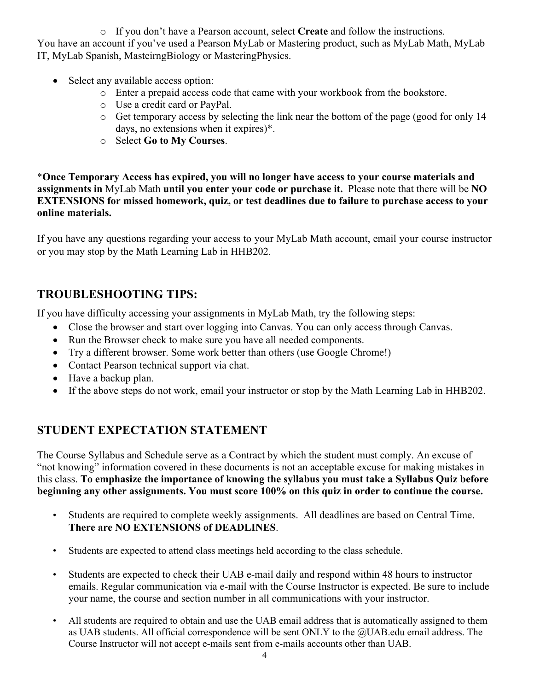o If you don't have a Pearson account, select **Create** and follow the instructions. You have an account if you've used a Pearson MyLab or Mastering product, such as MyLab Math, MyLab IT, MyLab Spanish, MasteirngBiology or MasteringPhysics.

- Select any available access option:
	- o Enter a prepaid access code that came with your workbook from the bookstore.
	- o Use a credit card or PayPal.
	- o Get temporary access by selecting the link near the bottom of the page (good for only 14 days, no extensions when it expires)\*.
	- o Select **Go to My Courses**.

\***Once Temporary Access has expired, you will no longer have access to your course materials and assignments in** MyLab Math **until you enter your code or purchase it.** Please note that there will be **NO EXTENSIONS for missed homework, quiz, or test deadlines due to failure to purchase access to your online materials.**

If you have any questions regarding your access to your MyLab Math account, email your course instructor or you may stop by the Math Learning Lab in HHB202.

### **TROUBLESHOOTING TIPS:**

If you have difficulty accessing your assignments in MyLab Math, try the following steps:

- Close the browser and start over logging into Canvas. You can only access through Canvas.
- Run the Browser check to make sure you have all needed components.
- Try a different browser. Some work better than others (use Google Chrome!)
- Contact Pearson technical support via chat.
- Have a backup plan.
- If the above steps do not work, email your instructor or stop by the Math Learning Lab in HHB202.

## **STUDENT EXPECTATION STATEMENT**

The Course Syllabus and Schedule serve as a Contract by which the student must comply. An excuse of "not knowing" information covered in these documents is not an acceptable excuse for making mistakes in this class. **To emphasize the importance of knowing the syllabus you must take a Syllabus Quiz before beginning any other assignments. You must score 100% on this quiz in order to continue the course.**

- Students are required to complete weekly assignments. All deadlines are based on Central Time. **There are NO EXTENSIONS of DEADLINES**.
- Students are expected to attend class meetings held according to the class schedule.
- Students are expected to check their UAB e-mail daily and respond within 48 hours to instructor emails. Regular communication via e-mail with the Course Instructor is expected. Be sure to include your name, the course and section number in all communications with your instructor.
- All students are required to obtain and use the UAB email address that is automatically assigned to them as UAB students. All official correspondence will be sent ONLY to the @UAB.edu email address. The Course Instructor will not accept e-mails sent from e-mails accounts other than UAB.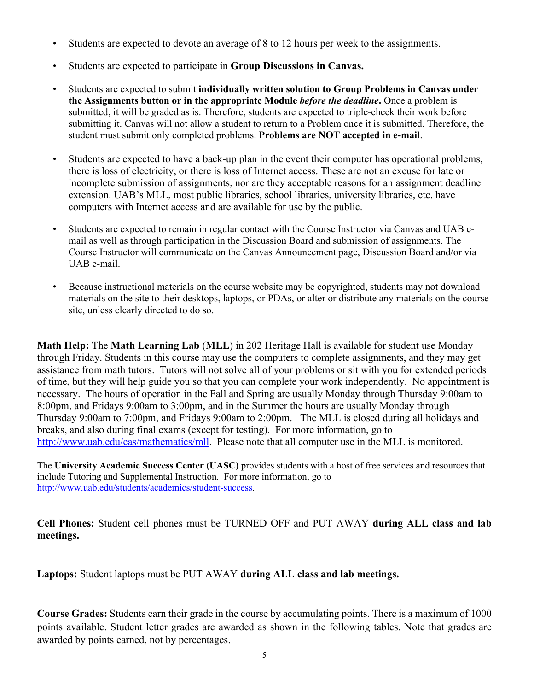- Students are expected to devote an average of 8 to 12 hours per week to the assignments.
- Students are expected to participate in **Group Discussions in Canvas.**
- Students are expected to submit **individually written solution to Group Problems in Canvas under the Assignments button or in the appropriate Module** *before the deadline***.** Once a problem is submitted, it will be graded as is. Therefore, students are expected to triple-check their work before submitting it. Canvas will not allow a student to return to a Problem once it is submitted. Therefore, the student must submit only completed problems. **Problems are NOT accepted in e-mail**.
- Students are expected to have a back-up plan in the event their computer has operational problems, there is loss of electricity, or there is loss of Internet access. These are not an excuse for late or incomplete submission of assignments, nor are they acceptable reasons for an assignment deadline extension. UAB's MLL, most public libraries, school libraries, university libraries, etc. have computers with Internet access and are available for use by the public.
- Students are expected to remain in regular contact with the Course Instructor via Canvas and UAB email as well as through participation in the Discussion Board and submission of assignments. The Course Instructor will communicate on the Canvas Announcement page, Discussion Board and/or via UAB e-mail.
- Because instructional materials on the course website may be copyrighted, students may not download materials on the site to their desktops, laptops, or PDAs, or alter or distribute any materials on the course site, unless clearly directed to do so.

**Math Help:** The **Math Learning Lab** (**MLL**) in 202 Heritage Hall is available for student use Monday through Friday. Students in this course may use the computers to complete assignments, and they may get assistance from math tutors. Tutors will not solve all of your problems or sit with you for extended periods of time, but they will help guide you so that you can complete your work independently. No appointment is necessary. The hours of operation in the Fall and Spring are usually Monday through Thursday 9:00am to 8:00pm, and Fridays 9:00am to 3:00pm, and in the Summer the hours are usually Monday through Thursday 9:00am to 7:00pm, and Fridays 9:00am to 2:00pm. The MLL is closed during all holidays and breaks, and also during final exams (except for testing). For more information, go to http://www.uab.edu/cas/mathematics/mll. Please note that all computer use in the MLL is monitored.

The **University Academic Success Center (UASC)** provides students with a host of free services and resources that include Tutoring and Supplemental Instruction. For more information, go to http://www.uab.edu/students/academics/student-success.

**Cell Phones:** Student cell phones must be TURNED OFF and PUT AWAY **during ALL class and lab meetings.**

**Laptops:** Student laptops must be PUT AWAY **during ALL class and lab meetings.**

**Course Grades:** Students earn their grade in the course by accumulating points. There is a maximum of 1000 points available. Student letter grades are awarded as shown in the following tables. Note that grades are awarded by points earned, not by percentages.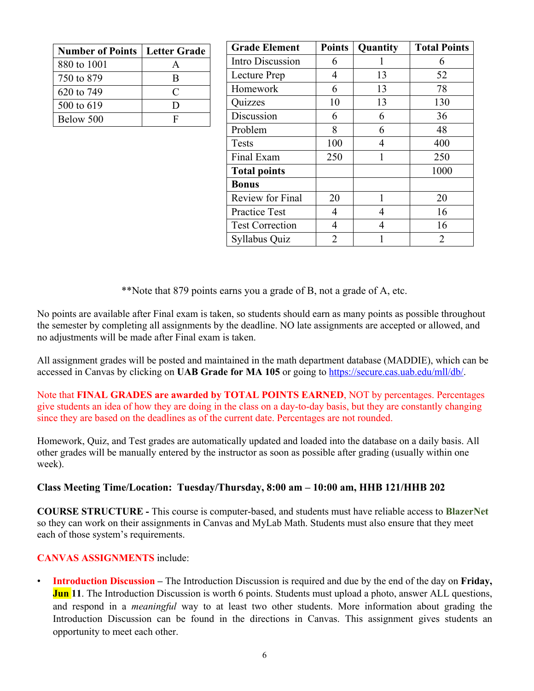| <b>Number of Points   Letter Grade</b> |              |
|----------------------------------------|--------------|
| 880 to 1001                            |              |
| 750 to 879                             | <sub>R</sub> |
| 620 to 749                             | $\subset$    |
| 500 to 619                             | נ ו          |
| Below 500                              | F            |

| <b>Grade Element</b>    | <b>Points</b> | Quantity | <b>Total Points</b> |
|-------------------------|---------------|----------|---------------------|
| Intro Discussion        | 6             |          | 6                   |
| Lecture Prep            | 4             | 13       | 52                  |
| Homework                | 6             | 13       | 78                  |
| Quizzes                 | 10            | 13       | 130                 |
| Discussion              | 6             | 6        | 36                  |
| Problem                 | 8             | 6        | 48                  |
| Tests                   | 100           | 4        | 400                 |
| Final Exam              | 250           | 1        | 250                 |
| <b>Total points</b>     |               |          | 1000                |
| <b>Bonus</b>            |               |          |                     |
| <b>Review for Final</b> | 20            | 1        | 20                  |
| <b>Practice Test</b>    | 4             | 4        | 16                  |
| <b>Test Correction</b>  | 4             | 4        | 16                  |
| Syllabus Quiz           | 2             |          | 2                   |

\*\*Note that 879 points earns you a grade of B, not a grade of A, etc.

No points are available after Final exam is taken, so students should earn as many points as possible throughout the semester by completing all assignments by the deadline. NO late assignments are accepted or allowed, and no adjustments will be made after Final exam is taken.

All assignment grades will be posted and maintained in the math department database (MADDIE), which can be accessed in Canvas by clicking on **UAB Grade for MA 105** or going to https://secure.cas.uab.edu/mll/db/.

Note that **FINAL GRADES are awarded by TOTAL POINTS EARNED**, NOT by percentages. Percentages give students an idea of how they are doing in the class on a day-to-day basis, but they are constantly changing since they are based on the deadlines as of the current date. Percentages are not rounded.

Homework, Quiz, and Test grades are automatically updated and loaded into the database on a daily basis. All other grades will be manually entered by the instructor as soon as possible after grading (usually within one week).

#### **Class Meeting Time/Location: Tuesday/Thursday, 8:00 am – 10:00 am, HHB 121/HHB 202**

**COURSE STRUCTURE -** This course is computer-based, and students must have reliable access to **BlazerNet** so they can work on their assignments in Canvas and MyLab Math. Students must also ensure that they meet each of those system's requirements.

#### **CANVAS ASSIGNMENTS** include:

• **Introduction Discussion –** The Introduction Discussion is required and due by the end of the day on **Friday, Jun** 11. The Introduction Discussion is worth 6 points. Students must upload a photo, answer ALL questions, and respond in a *meaningful* way to at least two other students. More information about grading the Introduction Discussion can be found in the directions in Canvas. This assignment gives students an opportunity to meet each other.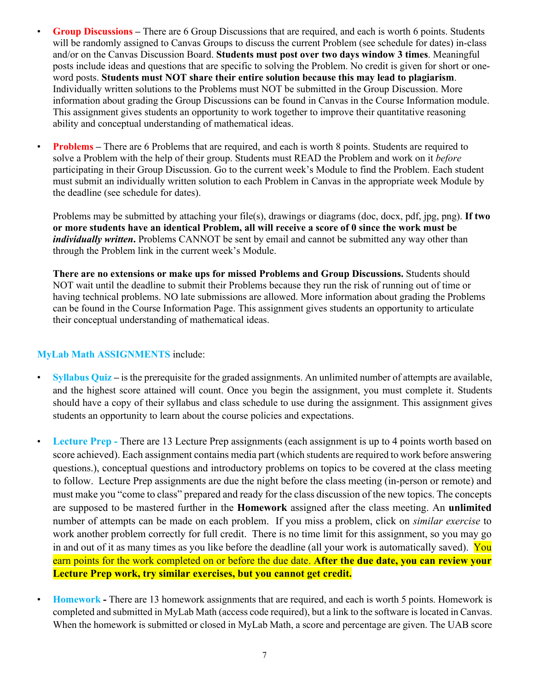- **Group Discussions –** There are 6 Group Discussions that are required, and each is worth 6 points. Students will be randomly assigned to Canvas Groups to discuss the current Problem (see schedule for dates) in-class and/or on the Canvas Discussion Board. **Students must post over two days window 3 times**. Meaningful posts include ideas and questions that are specific to solving the Problem. No credit is given for short or oneword posts. **Students must NOT share their entire solution because this may lead to plagiarism**. Individually written solutions to the Problems must NOT be submitted in the Group Discussion. More information about grading the Group Discussions can be found in Canvas in the Course Information module. This assignment gives students an opportunity to work together to improve their quantitative reasoning ability and conceptual understanding of mathematical ideas.
- **Problems** There are 6 Problems that are required, and each is worth 8 points. Students are required to solve a Problem with the help of their group. Students must READ the Problem and work on it *before*  participating in their Group Discussion. Go to the current week's Module to find the Problem. Each student must submit an individually written solution to each Problem in Canvas in the appropriate week Module by the deadline (see schedule for dates).

Problems may be submitted by attaching your file(s), drawings or diagrams (doc, docx, pdf, jpg, png). **If two or more students have an identical Problem, all will receive a score of 0 since the work must be**  *individually written*. Problems CANNOT be sent by email and cannot be submitted any way other than through the Problem link in the current week's Module.

**There are no extensions or make ups for missed Problems and Group Discussions.** Students should NOT wait until the deadline to submit their Problems because they run the risk of running out of time or having technical problems. NO late submissions are allowed. More information about grading the Problems can be found in the Course Information Page. This assignment gives students an opportunity to articulate their conceptual understanding of mathematical ideas.

#### **MyLab Math ASSIGNMENTS** include:

- **Syllabus Quiz** is the prerequisite for the graded assignments. An unlimited number of attempts are available, and the highest score attained will count. Once you begin the assignment, you must complete it. Students should have a copy of their syllabus and class schedule to use during the assignment. This assignment gives students an opportunity to learn about the course policies and expectations.
- **Lecture Prep -** There are 13 Lecture Prep assignments (each assignment is up to 4 points worth based on score achieved). Each assignment contains media part (which students are required to work before answering questions.), conceptual questions and introductory problems on topics to be covered at the class meeting to follow. Lecture Prep assignments are due the night before the class meeting (in-person or remote) and must make you "come to class" prepared and ready for the class discussion of the new topics. The concepts are supposed to be mastered further in the **Homework** assigned after the class meeting. An **unlimited** number of attempts can be made on each problem. If you miss a problem, click on *similar exercise* to work another problem correctly for full credit. There is no time limit for this assignment, so you may go in and out of it as many times as you like before the deadline (all your work is automatically saved). You earn points for the work completed on or before the due date. **After the due date, you can review your Lecture Prep work, try similar exercises, but you cannot get credit.**
- **Homework -** There are 13 homework assignments that are required, and each is worth 5 points. Homework is completed and submitted in MyLab Math (access code required), but a link to the software is located in Canvas. When the homework is submitted or closed in MyLab Math, a score and percentage are given. The UAB score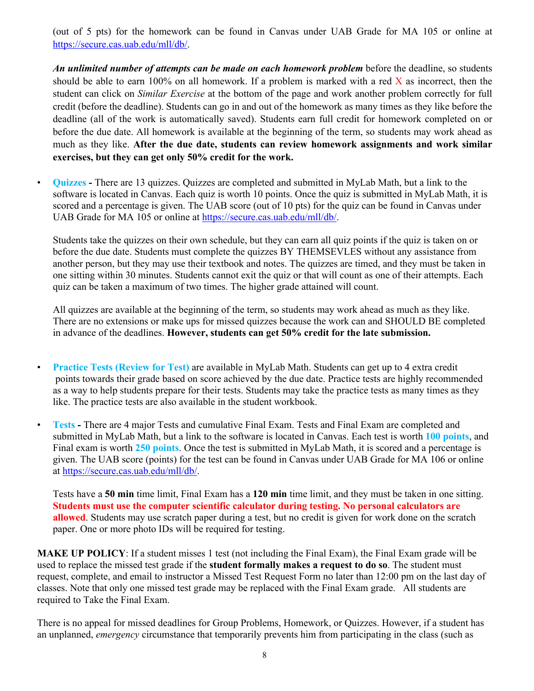(out of 5 pts) for the homework can be found in Canvas under UAB Grade for MA 105 or online at https://secure.cas.uab.edu/mll/db/.

*An unlimited number of attempts can be made on each homework problem* before the deadline, so students should be able to earn 100% on all homework. If a problem is marked with a red  $\bar{X}$  as incorrect, then the student can click on *Similar Exercise* at the bottom of the page and work another problem correctly for full credit (before the deadline). Students can go in and out of the homework as many times as they like before the deadline (all of the work is automatically saved). Students earn full credit for homework completed on or before the due date. All homework is available at the beginning of the term, so students may work ahead as much as they like. **After the due date, students can review homework assignments and work similar exercises, but they can get only 50% credit for the work.** 

• **Quizzes -** There are 13 quizzes. Quizzes are completed and submitted in MyLab Math, but a link to the software is located in Canvas. Each quiz is worth 10 points. Once the quiz is submitted in MyLab Math, it is scored and a percentage is given. The UAB score (out of 10 pts) for the quiz can be found in Canvas under UAB Grade for MA 105 or online at https://secure.cas.uab.edu/mll/db/.

Students take the quizzes on their own schedule, but they can earn all quiz points if the quiz is taken on or before the due date. Students must complete the quizzes BY THEMSEVLES without any assistance from another person, but they may use their textbook and notes. The quizzes are timed, and they must be taken in one sitting within 30 minutes. Students cannot exit the quiz or that will count as one of their attempts. Each quiz can be taken a maximum of two times. The higher grade attained will count.

All quizzes are available at the beginning of the term, so students may work ahead as much as they like. There are no extensions or make ups for missed quizzes because the work can and SHOULD BE completed in advance of the deadlines. **However, students can get 50% credit for the late submission.**

- **Practice Tests (Review for Test)** are available in MyLab Math. Students can get up to 4 extra credit points towards their grade based on score achieved by the due date. Practice tests are highly recommended as a way to help students prepare for their tests. Students may take the practice tests as many times as they like. The practice tests are also available in the student workbook.
- **Tests -** There are 4 major Tests and cumulative Final Exam. Tests and Final Exam are completed and submitted in MyLab Math, but a link to the software is located in Canvas. Each test is worth **100 points**, and Final exam is worth **250 points**. Once the test is submitted in MyLab Math, it is scored and a percentage is given. The UAB score (points) for the test can be found in Canvas under UAB Grade for MA 106 or online at https://secure.cas.uab.edu/mll/db/.

Tests have a **50 min** time limit, Final Exam has a **120 min** time limit, and they must be taken in one sitting. **Students must use the computer scientific calculator during testing. No personal calculators are allowed**. Students may use scratch paper during a test, but no credit is given for work done on the scratch paper. One or more photo IDs will be required for testing.

**MAKE UP POLICY**: If a student misses 1 test (not including the Final Exam), the Final Exam grade will be used to replace the missed test grade if the **student formally makes a request to do so**. The student must request, complete, and email to instructor a Missed Test Request Form no later than 12:00 pm on the last day of classes. Note that only one missed test grade may be replaced with the Final Exam grade. All students are required to Take the Final Exam.

There is no appeal for missed deadlines for Group Problems, Homework, or Quizzes. However, if a student has an unplanned, *emergency* circumstance that temporarily prevents him from participating in the class (such as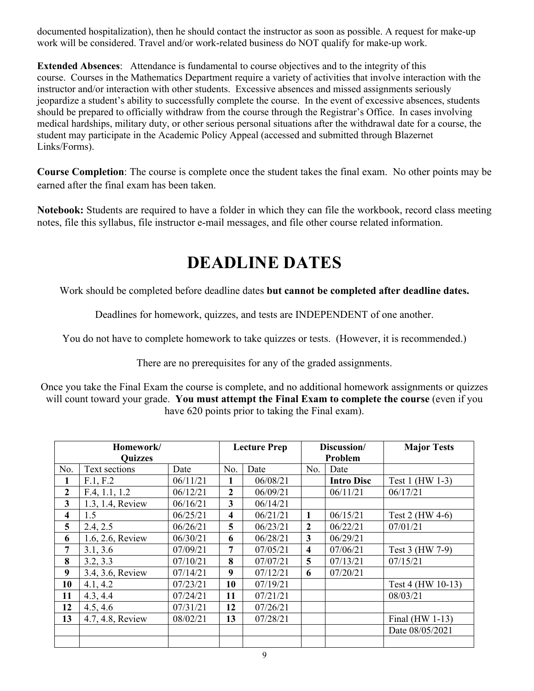documented hospitalization), then he should contact the instructor as soon as possible. A request for make-up work will be considered. Travel and/or work-related business do NOT qualify for make-up work.

**Extended Absences**: Attendance is fundamental to course objectives and to the integrity of this course. Courses in the Mathematics Department require a variety of activities that involve interaction with the instructor and/or interaction with other students. Excessive absences and missed assignments seriously jeopardize a student's ability to successfully complete the course. In the event of excessive absences, students should be prepared to officially withdraw from the course through the Registrar's Office. In cases involving medical hardships, military duty, or other serious personal situations after the withdrawal date for a course, the student may participate in the Academic Policy Appeal (accessed and submitted through Blazernet Links/Forms).

**Course Completion**: The course is complete once the student takes the final exam. No other points may be earned after the final exam has been taken.

**Notebook:** Students are required to have a folder in which they can file the workbook, record class meeting notes, file this syllabus, file instructor e-mail messages, and file other course related information.

# **DEADLINE DATES**

Work should be completed before deadline dates **but cannot be completed after deadline dates.**

Deadlines for homework, quizzes, and tests are INDEPENDENT of one another.

You do not have to complete homework to take quizzes or tests. (However, it is recommended.)

There are no prerequisites for any of the graded assignments.

Once you take the Final Exam the course is complete, and no additional homework assignments or quizzes will count toward your grade. **You must attempt the Final Exam to complete the course** (even if you have 620 points prior to taking the Final exam).

| Homework/               |                  | <b>Lecture Prep</b> |                  | Discussion/ |              | <b>Major Tests</b> |                   |
|-------------------------|------------------|---------------------|------------------|-------------|--------------|--------------------|-------------------|
| <b>Quizzes</b>          |                  |                     |                  | Problem     |              |                    |                   |
| No.                     | Text sections    | Date                | No.              | Date        | No.          | Date               |                   |
| 1                       | F.1, F.2         | 06/11/21            | 1                | 06/08/21    |              | <b>Intro Disc</b>  | Test 1 (HW 1-3)   |
| $\overline{2}$          | F.4, 1.1, 1.2    | 06/12/21            | $\boldsymbol{2}$ | 06/09/21    |              | 06/11/21           | 06/17/21          |
| $\overline{\mathbf{3}}$ | 1.3, 1.4, Review | 06/16/21            | 3                | 06/14/21    |              |                    |                   |
| $\overline{\mathbf{4}}$ | 1.5              | 06/25/21            | 4                | 06/21/21    | 1            | 06/15/21           | Test 2 (HW 4-6)   |
| 5                       | 2.4, 2.5         | 06/26/21            | 5                | 06/23/21    | $\mathbf{2}$ | 06/22/21           | 07/01/21          |
| 6                       | 1.6, 2.6, Review | 06/30/21            | 6                | 06/28/21    | 3            | 06/29/21           |                   |
| 7                       | 3.1, 3.6         | 07/09/21            | 7                | 07/05/21    | 4            | 07/06/21           | Test 3 (HW 7-9)   |
| 8                       | 3.2, 3.3         | 07/10/21            | 8                | 07/07/21    | 5            | 07/13/21           | 07/15/21          |
| 9                       | 3.4, 3.6, Review | 07/14/21            | 9                | 07/12/21    | 6            | 07/20/21           |                   |
| 10                      | 4.1, 4.2         | 07/23/21            | 10               | 07/19/21    |              |                    | Test 4 (HW 10-13) |
| 11                      | 4.3, 4.4         | 07/24/21            | 11               | 07/21/21    |              |                    | 08/03/21          |
| 12                      | 4.5, 4.6         | 07/31/21            | 12               | 07/26/21    |              |                    |                   |
| 13                      | 4.7, 4.8, Review | 08/02/21            | 13               | 07/28/21    |              |                    | Final $(HW 1-13)$ |
|                         |                  |                     |                  |             |              |                    | Date 08/05/2021   |
|                         |                  |                     |                  |             |              |                    |                   |